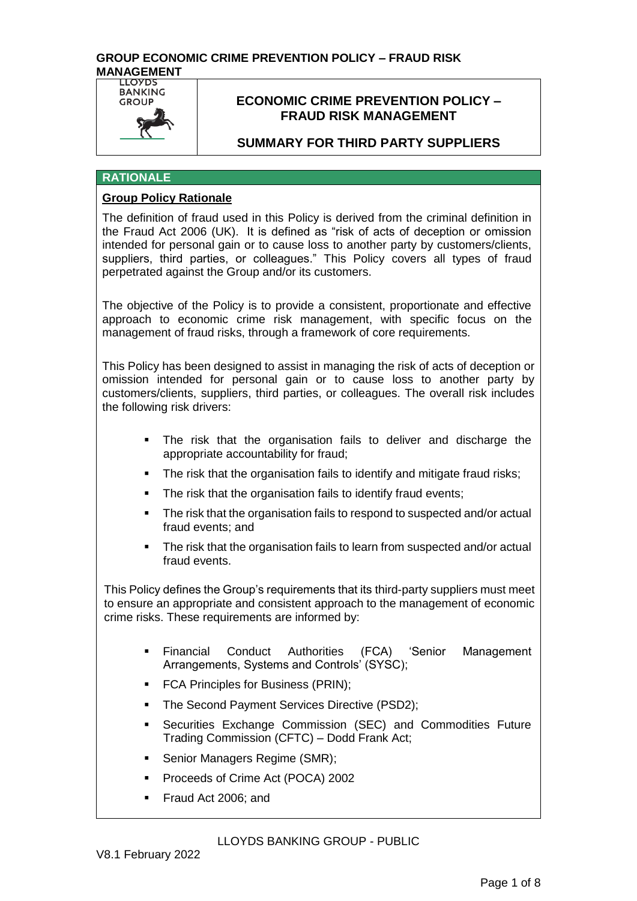

# **ECONOMIC CRIME PREVENTION POLICY – FRAUD RISK MANAGEMENT**

# **SUMMARY FOR THIRD PARTY SUPPLIERS**

### **RATIONALE**

### **Group Policy Rationale**

The definition of fraud used in this Policy is derived from the criminal definition in the Fraud Act 2006 (UK). It is defined as "risk of acts of deception or omission intended for personal gain or to cause loss to another party by customers/clients, suppliers, third parties, or colleagues." This Policy covers all types of fraud perpetrated against the Group and/or its customers.

The objective of the Policy is to provide a consistent, proportionate and effective approach to economic crime risk management, with specific focus on the management of fraud risks, through a framework of core requirements.

This Policy has been designed to assist in managing the risk of acts of deception or omission intended for personal gain or to cause loss to another party by customers/clients, suppliers, third parties, or colleagues. The overall risk includes the following risk drivers:

- The risk that the organisation fails to deliver and discharge the appropriate accountability for fraud;
- The risk that the organisation fails to identify and mitigate fraud risks;
- The risk that the organisation fails to identify fraud events;
- The risk that the organisation fails to respond to suspected and/or actual fraud events; and
- The risk that the organisation fails to learn from suspected and/or actual fraud events.

This Policy defines the Group's requirements that its third-party suppliers must meet to ensure an appropriate and consistent approach to the management of economic crime risks. These requirements are informed by:

- Financial Conduct Authorities (FCA) 'Senior Management Arrangements, Systems and Controls' (SYSC);
- **FCA Principles for Business (PRIN);**
- The Second Payment Services Directive (PSD2);
- Securities Exchange Commission (SEC) and Commodities Future Trading Commission (CFTC) – Dodd Frank Act;
- **Senior Managers Regime (SMR);**
- Proceeds of Crime Act (POCA) 2002
- Fraud Act 2006; and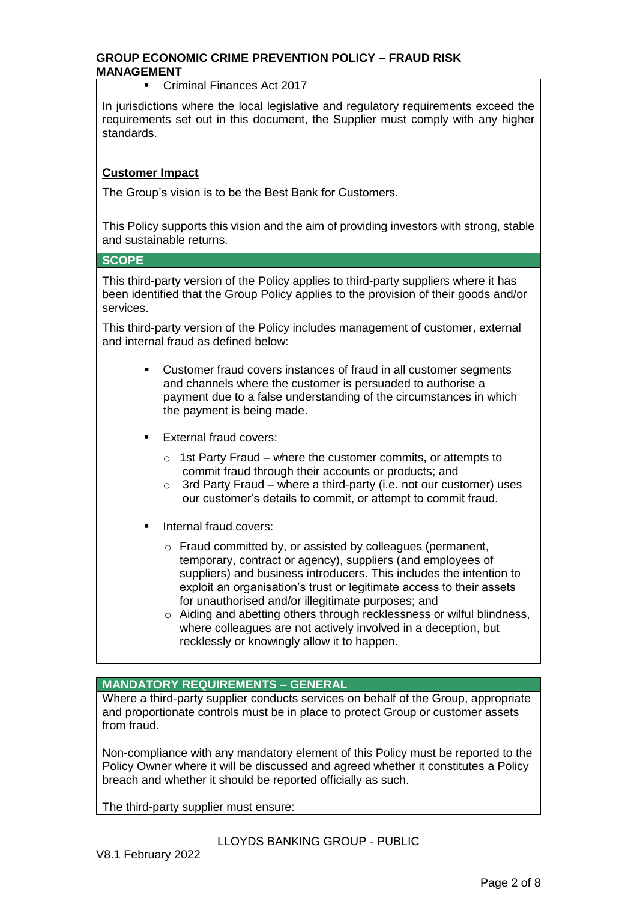Criminal Finances Act 2017

In jurisdictions where the local legislative and regulatory requirements exceed the requirements set out in this document, the Supplier must comply with any higher standards.

## **Customer Impact**

The Group's vision is to be the Best Bank for Customers.

This Policy supports this vision and the aim of providing investors with strong, stable and sustainable returns.

#### **SCOPE**

This third-party version of the Policy applies to third-party suppliers where it has been identified that the Group Policy applies to the provision of their goods and/or services.

This third-party version of the Policy includes management of customer, external and internal fraud as defined below:

- Customer fraud covers instances of fraud in all customer segments and channels where the customer is persuaded to authorise a payment due to a false understanding of the circumstances in which the payment is being made.
- **External fraud covers:** 
	- o 1st Party Fraud where the customer commits, or attempts to commit fraud through their accounts or products; and
	- o 3rd Party Fraud where a third-party (i.e. not our customer) uses our customer's details to commit, or attempt to commit fraud.
- Internal fraud covers:
	- o Fraud committed by, or assisted by colleagues (permanent, temporary, contract or agency), suppliers (and employees of suppliers) and business introducers. This includes the intention to exploit an organisation's trust or legitimate access to their assets for unauthorised and/or illegitimate purposes; and
	- o Aiding and abetting others through recklessness or wilful blindness, where colleagues are not actively involved in a deception, but recklessly or knowingly allow it to happen.

**MANDATORY REQUIREMENTS – GENERAL**

Where a third-party supplier conducts services on behalf of the Group, appropriate and proportionate controls must be in place to protect Group or customer assets from fraud.

Non-compliance with any mandatory element of this Policy must be reported to the Policy Owner where it will be discussed and agreed whether it constitutes a Policy breach and whether it should be reported officially as such.

The third-party supplier must ensure: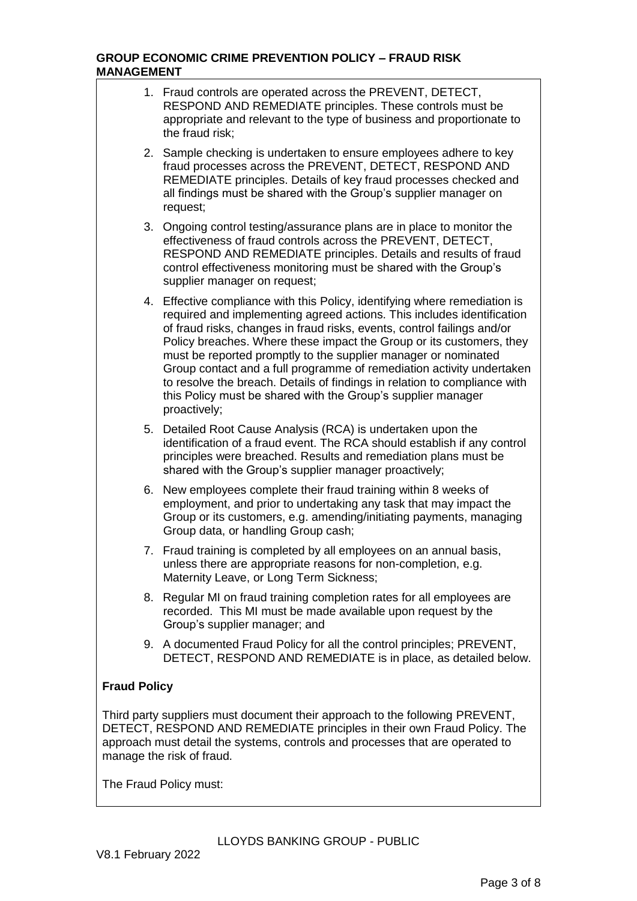|                                                                                                                                                                                                                                                                       | 1. Fraud controls are operated across the PREVENT, DETECT,<br>RESPOND AND REMEDIATE principles. These controls must be<br>appropriate and relevant to the type of business and proportionate to<br>the fraud risk;                                                                                                                                                                                                                                                                                                                                                                                              |  |  |  |
|-----------------------------------------------------------------------------------------------------------------------------------------------------------------------------------------------------------------------------------------------------------------------|-----------------------------------------------------------------------------------------------------------------------------------------------------------------------------------------------------------------------------------------------------------------------------------------------------------------------------------------------------------------------------------------------------------------------------------------------------------------------------------------------------------------------------------------------------------------------------------------------------------------|--|--|--|
|                                                                                                                                                                                                                                                                       | 2. Sample checking is undertaken to ensure employees adhere to key<br>fraud processes across the PREVENT, DETECT, RESPOND AND<br>REMEDIATE principles. Details of key fraud processes checked and<br>all findings must be shared with the Group's supplier manager on<br>request;                                                                                                                                                                                                                                                                                                                               |  |  |  |
|                                                                                                                                                                                                                                                                       | 3. Ongoing control testing/assurance plans are in place to monitor the<br>effectiveness of fraud controls across the PREVENT, DETECT,<br>RESPOND AND REMEDIATE principles. Details and results of fraud<br>control effectiveness monitoring must be shared with the Group's<br>supplier manager on request;                                                                                                                                                                                                                                                                                                     |  |  |  |
|                                                                                                                                                                                                                                                                       | 4. Effective compliance with this Policy, identifying where remediation is<br>required and implementing agreed actions. This includes identification<br>of fraud risks, changes in fraud risks, events, control failings and/or<br>Policy breaches. Where these impact the Group or its customers, they<br>must be reported promptly to the supplier manager or nominated<br>Group contact and a full programme of remediation activity undertaken<br>to resolve the breach. Details of findings in relation to compliance with<br>this Policy must be shared with the Group's supplier manager<br>proactively; |  |  |  |
|                                                                                                                                                                                                                                                                       | 5. Detailed Root Cause Analysis (RCA) is undertaken upon the<br>identification of a fraud event. The RCA should establish if any control<br>principles were breached. Results and remediation plans must be<br>shared with the Group's supplier manager proactively;                                                                                                                                                                                                                                                                                                                                            |  |  |  |
| 6.                                                                                                                                                                                                                                                                    | New employees complete their fraud training within 8 weeks of<br>employment, and prior to undertaking any task that may impact the<br>Group or its customers, e.g. amending/initiating payments, managing<br>Group data, or handling Group cash;                                                                                                                                                                                                                                                                                                                                                                |  |  |  |
|                                                                                                                                                                                                                                                                       | 7. Fraud training is completed by all employees on an annual basis,<br>unless there are appropriate reasons for non-completion, e.g.<br>Maternity Leave, or Long Term Sickness;                                                                                                                                                                                                                                                                                                                                                                                                                                 |  |  |  |
| 8.                                                                                                                                                                                                                                                                    | Regular MI on fraud training completion rates for all employees are<br>recorded. This MI must be made available upon request by the<br>Group's supplier manager; and                                                                                                                                                                                                                                                                                                                                                                                                                                            |  |  |  |
|                                                                                                                                                                                                                                                                       | 9. A documented Fraud Policy for all the control principles; PREVENT,<br>DETECT, RESPOND AND REMEDIATE is in place, as detailed below.                                                                                                                                                                                                                                                                                                                                                                                                                                                                          |  |  |  |
| <b>Fraud Policy</b>                                                                                                                                                                                                                                                   |                                                                                                                                                                                                                                                                                                                                                                                                                                                                                                                                                                                                                 |  |  |  |
| Third party suppliers must document their approach to the following PREVENT,<br>DETECT, RESPOND AND REMEDIATE principles in their own Fraud Policy. The<br>approach must detail the systems, controls and processes that are operated to<br>manage the risk of fraud. |                                                                                                                                                                                                                                                                                                                                                                                                                                                                                                                                                                                                                 |  |  |  |
| The Fraud Policy must:                                                                                                                                                                                                                                                |                                                                                                                                                                                                                                                                                                                                                                                                                                                                                                                                                                                                                 |  |  |  |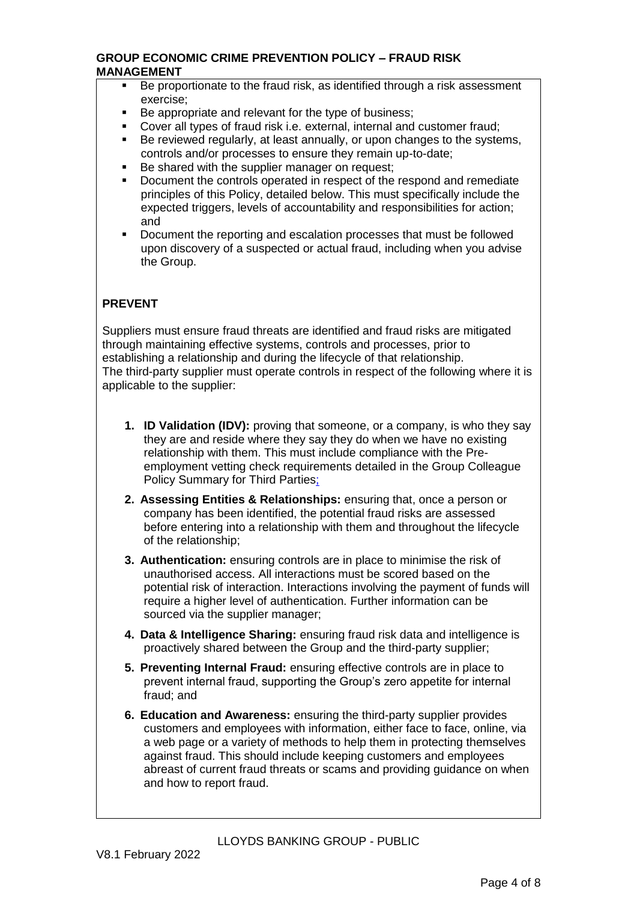- Be proportionate to the fraud risk, as identified through a risk assessment exercise;
- Be appropriate and relevant for the type of business;
- Cover all types of fraud risk i.e. external, internal and customer fraud;
- Be reviewed regularly, at least annually, or upon changes to the systems, controls and/or processes to ensure they remain up-to-date;
- Be shared with the supplier manager on request;
- Document the controls operated in respect of the respond and remediate principles of this Policy, detailed below. This must specifically include the expected triggers, levels of accountability and responsibilities for action; and
- Document the reporting and escalation processes that must be followed upon discovery of a suspected or actual fraud, including when you advise the Group.

# **PREVENT**

Suppliers must ensure fraud threats are identified and fraud risks are mitigated through maintaining effective systems, controls and processes, prior to establishing a relationship and during the lifecycle of that relationship. The third-party supplier must operate controls in respect of the following where it is applicable to the supplier:

- **1. ID Validation (IDV):** proving that someone, or a company, is who they say they are and reside where they say they do when we have no existing relationship with them. This must include compliance with the Preemployment vetting check requirements detailed in the Group Colleague Policy Summary for Third Parties;
- **2. Assessing Entities & Relationships:** ensuring that, once a person or company has been identified, the potential fraud risks are assessed before entering into a relationship with them and throughout the lifecycle of the relationship;
- **3. Authentication:** ensuring controls are in place to minimise the risk of unauthorised access. All interactions must be scored based on the potential risk of interaction. Interactions involving the payment of funds will require a higher level of authentication. Further information can be sourced via the supplier manager;
- **4. Data & Intelligence Sharing:** ensuring fraud risk data and intelligence is proactively shared between the Group and the third-party supplier;
- **5. Preventing Internal Fraud:** ensuring effective controls are in place to prevent internal fraud, supporting the Group's zero appetite for internal fraud; and
- **6. Education and Awareness:** ensuring the third-party supplier provides customers and employees with information, either face to face, online, via a web page or a variety of methods to help them in protecting themselves against fraud. This should include keeping customers and employees abreast of current fraud threats or scams and providing guidance on when and how to report fraud.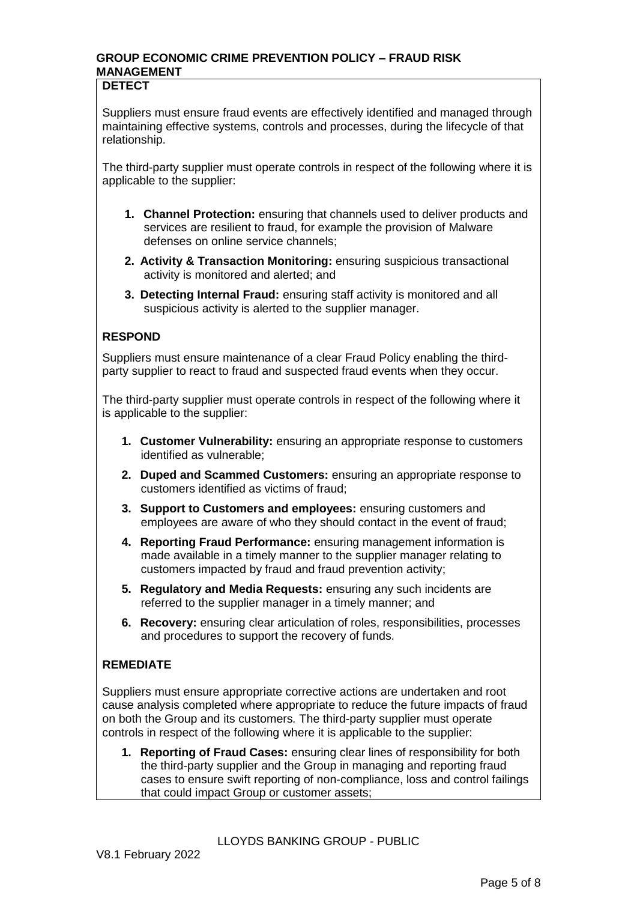## **DETECT**

Suppliers must ensure fraud events are effectively identified and managed through maintaining effective systems, controls and processes, during the lifecycle of that relationship.

The third-party supplier must operate controls in respect of the following where it is applicable to the supplier:

- **1. Channel Protection:** ensuring that channels used to deliver products and services are resilient to fraud, for example the provision of Malware defenses on online service channels;
- **2. Activity & Transaction Monitoring:** ensuring suspicious transactional activity is monitored and alerted; and
- **3. Detecting Internal Fraud:** ensuring staff activity is monitored and all suspicious activity is alerted to the supplier manager.

# **RESPOND**

 Suppliers must ensure maintenance of a clear Fraud Policy enabling the thirdparty supplier to react to fraud and suspected fraud events when they occur.

The third-party supplier must operate controls in respect of the following where it is applicable to the supplier:

- **1. Customer Vulnerability:** ensuring an appropriate response to customers identified as vulnerable;
- **2. Duped and Scammed Customers:** ensuring an appropriate response to customers identified as victims of fraud;
- **3. Support to Customers and employees:** ensuring customers and employees are aware of who they should contact in the event of fraud;
- **4. Reporting Fraud Performance:** ensuring management information is made available in a timely manner to the supplier manager relating to customers impacted by fraud and fraud prevention activity;
- **5. Regulatory and Media Requests:** ensuring any such incidents are referred to the supplier manager in a timely manner; and
- **6. Recovery:** ensuring clear articulation of roles, responsibilities, processes and procedures to support the recovery of funds.

# **REMEDIATE**

Suppliers must ensure appropriate corrective actions are undertaken and root cause analysis completed where appropriate to reduce the future impacts of fraud on both the Group and its customers*.* The third-party supplier must operate controls in respect of the following where it is applicable to the supplier:

**1. Reporting of Fraud Cases:** ensuring clear lines of responsibility for both the third-party supplier and the Group in managing and reporting fraud cases to ensure swift reporting of non-compliance, loss and control failings that could impact Group or customer assets;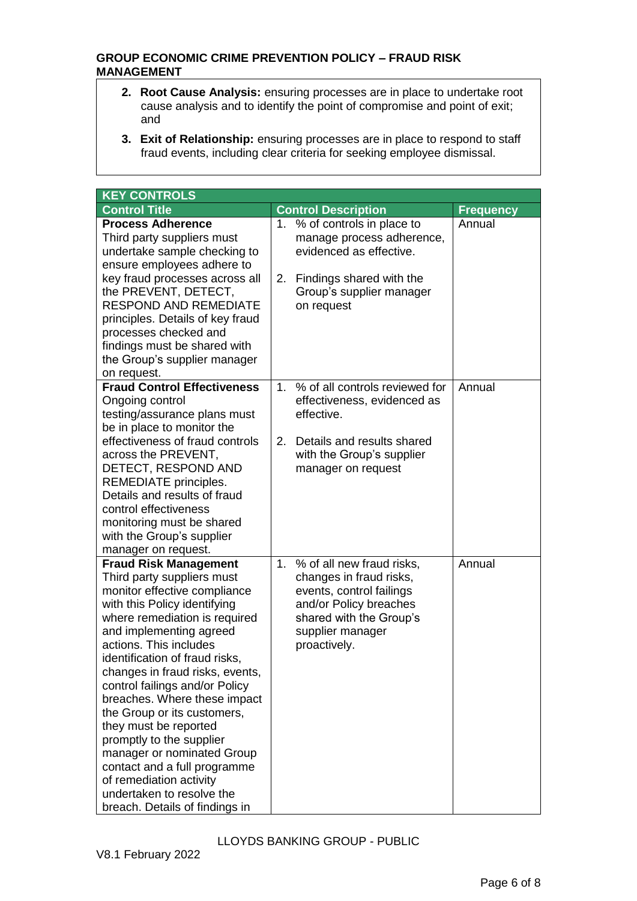- **2. Root Cause Analysis:** ensuring processes are in place to undertake root cause analysis and to identify the point of compromise and point of exit; and
- **3. Exit of Relationship:** ensuring processes are in place to respond to staff fraud events, including clear criteria for seeking employee dismissal.

| <b>KEY CONTROLS</b>                                                                                                                                                                                                                                                                                                                                                                                                                                                                                                                                                                                 |                           |                                                                                                                                                                           |                  |
|-----------------------------------------------------------------------------------------------------------------------------------------------------------------------------------------------------------------------------------------------------------------------------------------------------------------------------------------------------------------------------------------------------------------------------------------------------------------------------------------------------------------------------------------------------------------------------------------------------|---------------------------|---------------------------------------------------------------------------------------------------------------------------------------------------------------------------|------------------|
| <b>Control Title</b>                                                                                                                                                                                                                                                                                                                                                                                                                                                                                                                                                                                |                           | <b>Control Description</b>                                                                                                                                                | <b>Frequency</b> |
| <b>Process Adherence</b><br>Third party suppliers must<br>undertake sample checking to<br>ensure employees adhere to<br>key fraud processes across all<br>the PREVENT, DETECT,<br><b>RESPOND AND REMEDIATE</b><br>principles. Details of key fraud<br>processes checked and<br>findings must be shared with<br>the Group's supplier manager<br>on request.                                                                                                                                                                                                                                          | 2.                        | 1. % of controls in place to<br>manage process adherence,<br>evidenced as effective.<br>Findings shared with the<br>Group's supplier manager<br>on request                | Annual           |
| <b>Fraud Control Effectiveness</b><br>Ongoing control<br>testing/assurance plans must<br>be in place to monitor the<br>effectiveness of fraud controls<br>across the PREVENT,<br>DETECT, RESPOND AND<br>REMEDIATE principles.<br>Details and results of fraud<br>control effectiveness<br>monitoring must be shared<br>with the Group's supplier<br>manager on request.                                                                                                                                                                                                                             | $1_{-}$<br>2 <sub>1</sub> | % of all controls reviewed for<br>effectiveness, evidenced as<br>effective.<br>Details and results shared<br>with the Group's supplier<br>manager on request              | Annual           |
| <b>Fraud Risk Management</b><br>Third party suppliers must<br>monitor effective compliance<br>with this Policy identifying<br>where remediation is required<br>and implementing agreed<br>actions. This includes<br>identification of fraud risks,<br>changes in fraud risks, events,<br>control failings and/or Policy<br>breaches. Where these impact<br>the Group or its customers,<br>they must be reported<br>promptly to the supplier<br>manager or nominated Group<br>contact and a full programme<br>of remediation activity<br>undertaken to resolve the<br>breach. Details of findings in | 1.                        | % of all new fraud risks,<br>changes in fraud risks,<br>events, control failings<br>and/or Policy breaches<br>shared with the Group's<br>supplier manager<br>proactively. | Annual           |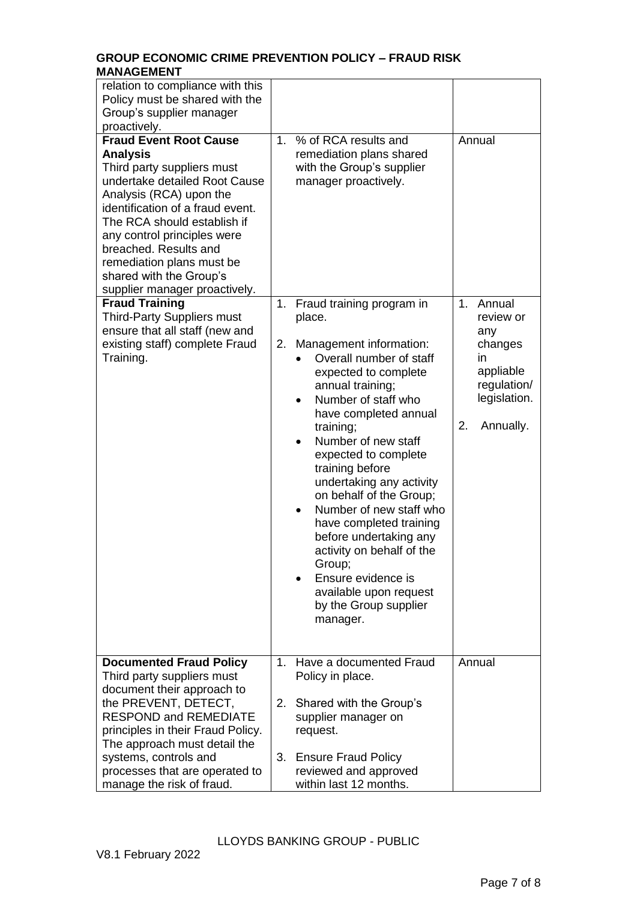| relation to compliance with this<br>Policy must be shared with the<br>Group's supplier manager<br>proactively.                                                                                                                                                                                                                                                 |                |                                                                                                                                                                                                                                                                                                                                                                                                                                                                                                                                                                      |                                                                                                                  |
|----------------------------------------------------------------------------------------------------------------------------------------------------------------------------------------------------------------------------------------------------------------------------------------------------------------------------------------------------------------|----------------|----------------------------------------------------------------------------------------------------------------------------------------------------------------------------------------------------------------------------------------------------------------------------------------------------------------------------------------------------------------------------------------------------------------------------------------------------------------------------------------------------------------------------------------------------------------------|------------------------------------------------------------------------------------------------------------------|
| <b>Fraud Event Root Cause</b><br><b>Analysis</b><br>Third party suppliers must<br>undertake detailed Root Cause<br>Analysis (RCA) upon the<br>identification of a fraud event.<br>The RCA should establish if<br>any control principles were<br>breached. Results and<br>remediation plans must be<br>shared with the Group's<br>supplier manager proactively. | 1 <sub>1</sub> | % of RCA results and<br>remediation plans shared<br>with the Group's supplier<br>manager proactively.                                                                                                                                                                                                                                                                                                                                                                                                                                                                | Annual                                                                                                           |
| <b>Fraud Training</b><br><b>Third-Party Suppliers must</b><br>ensure that all staff (new and<br>existing staff) complete Fraud<br>Training.                                                                                                                                                                                                                    | 2.             | 1. Fraud training program in<br>place.<br>Management information:<br>Overall number of staff<br>expected to complete<br>annual training;<br>Number of staff who<br>$\bullet$<br>have completed annual<br>training;<br>Number of new staff<br>expected to complete<br>training before<br>undertaking any activity<br>on behalf of the Group;<br>Number of new staff who<br>$\bullet$<br>have completed training<br>before undertaking any<br>activity on behalf of the<br>Group;<br>Ensure evidence is<br>available upon request<br>by the Group supplier<br>manager. | Annual<br>1.<br>review or<br>any<br>changes<br>in<br>appliable<br>regulation/<br>legislation.<br>2.<br>Annually. |
| <b>Documented Fraud Policy</b><br>Third party suppliers must<br>document their approach to<br>the PREVENT, DETECT,<br><b>RESPOND and REMEDIATE</b><br>principles in their Fraud Policy.<br>The approach must detail the                                                                                                                                        |                | 1. Have a documented Fraud<br>Policy in place.                                                                                                                                                                                                                                                                                                                                                                                                                                                                                                                       | Annual                                                                                                           |
|                                                                                                                                                                                                                                                                                                                                                                |                | 2. Shared with the Group's<br>supplier manager on<br>request.                                                                                                                                                                                                                                                                                                                                                                                                                                                                                                        |                                                                                                                  |
| systems, controls and<br>processes that are operated to<br>manage the risk of fraud.                                                                                                                                                                                                                                                                           | 3.             | <b>Ensure Fraud Policy</b><br>reviewed and approved<br>within last 12 months.                                                                                                                                                                                                                                                                                                                                                                                                                                                                                        |                                                                                                                  |